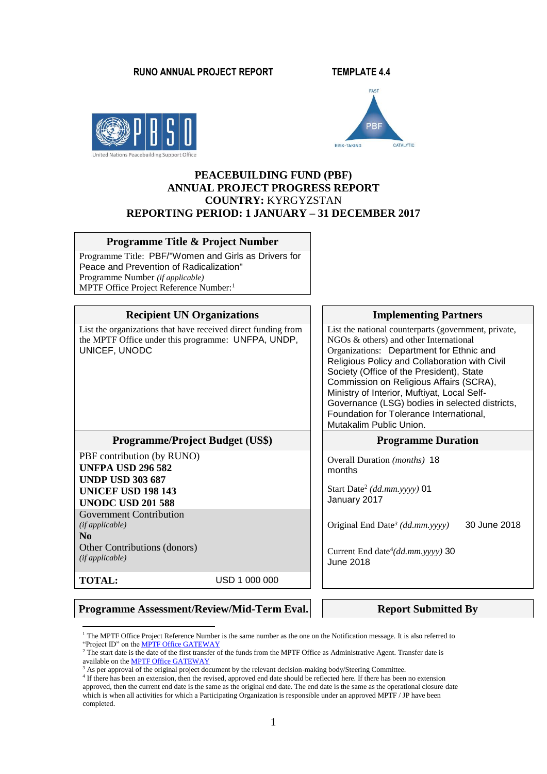#### **RUNO ANNUAL PROJECT REPORT TEMPLATE 4.4**





## **PEACEBUILDING FUND (PBF) ANNUAL PROJECT PROGRESS REPORT COUNTRY:** KYRGYZSTAN **REPORTING PERIOD: 1 JANUARY – 31 DECEMBER 2017**

#### **Programme Title & Project Number**

Programme Title: PBF/"Women and Girls as Drivers for Peace and Prevention of Radicalization" Programme Number *(if applicable)*  MPTF Office Project Reference Number:<sup>1</sup>

| <b>Recipient UN Organizations</b>                                                                                                                                                                                                                                            | <b>Implementing Partners</b>                                                                                                                                                                                                                                                                                                                                                                                                                              |  |
|------------------------------------------------------------------------------------------------------------------------------------------------------------------------------------------------------------------------------------------------------------------------------|-----------------------------------------------------------------------------------------------------------------------------------------------------------------------------------------------------------------------------------------------------------------------------------------------------------------------------------------------------------------------------------------------------------------------------------------------------------|--|
| List the organizations that have received direct funding from<br>the MPTF Office under this programme: UNFPA, UNDP,<br>UNICEF, UNODC                                                                                                                                         | List the national counterparts (government, private,<br>NGOs & others) and other International<br>Organizations: Department for Ethnic and<br>Religious Policy and Collaboration with Civil<br>Society (Office of the President), State<br>Commission on Religious Affairs (SCRA),<br>Ministry of Interior, Muftiyat, Local Self-<br>Governance (LSG) bodies in selected districts,<br>Foundation for Tolerance International,<br>Mutakalim Public Union. |  |
| <b>Programme/Project Budget (US\$)</b>                                                                                                                                                                                                                                       | <b>Programme Duration</b>                                                                                                                                                                                                                                                                                                                                                                                                                                 |  |
| PBF contribution (by RUNO)<br><b>UNFPA USD 296 582</b><br><b>UNDP USD 303 687</b><br><b>UNICEF USD 198 143</b><br><b>UNODC USD 201 588</b><br><b>Government Contribution</b><br>(ifappliedble)<br>$\bf N$ <sub>0</sub><br>Other Contributions (donors)<br>$(if\,appliedble)$ | Overall Duration (months) 18<br>months<br>Start Date <sup>2</sup> (dd.mm.yyyy) 01<br>January 2017<br>Original End Date <sup>3</sup> (dd.mm.yyyy)<br>30 June 2018<br>Current End date <sup>4</sup> (dd.mm.yyyy) 30<br><b>June 2018</b>                                                                                                                                                                                                                     |  |
| <b>TOTAL:</b><br>USD 1 000 000                                                                                                                                                                                                                                               |                                                                                                                                                                                                                                                                                                                                                                                                                                                           |  |

#### **Programme Assessment/Review/Mid-Term Eval.** Report Submitted By

<sup>1</sup> <sup>1</sup> The MPTF Office Project Reference Number is the same number as the one on the Notification message. It is also referred to "Project ID" on th[e MPTF Office GATEWAY](http://mdtf.undp.org/)

<sup>&</sup>lt;sup>2</sup> The start date is the date of the first transfer of the funds from the MPTF Office as Administrative Agent. Transfer date is available on the **MPTF Office GATEWAY** 

<sup>&</sup>lt;sup>3</sup> As per approval of the original project document by the relevant decision-making body/Steering Committee.

<sup>&</sup>lt;sup>4</sup> If there has been an extension, then the revised, approved end date should be reflected here. If there has been no extension approved, then the current end date is the same as the original end date. The end date is the same as the operational closure date which is when all activities for which a Participating Organization is responsible under an approved MPTF / JP have been completed.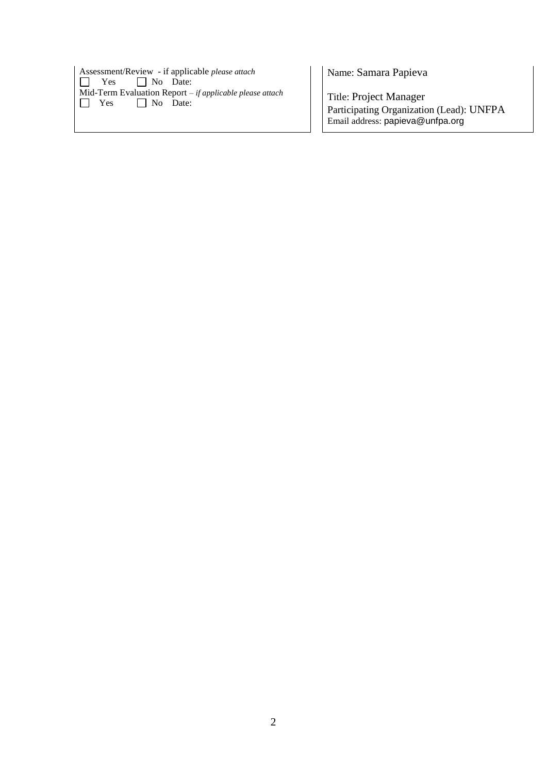| Assessment/Review - if applicable <i>please</i> attach<br>$\Box$ Yes $\Box$ No Date: |  |  |
|--------------------------------------------------------------------------------------|--|--|
| Mid-Term Evaluation Report $-i f$ applicable please attach                           |  |  |
| $\Box$ Yes $\Box$ No Date:                                                           |  |  |
|                                                                                      |  |  |

Name: Samara Papieva

Title: Project Manager Participating Organization (Lead): UNFPA Email address: papieva@unfpa.org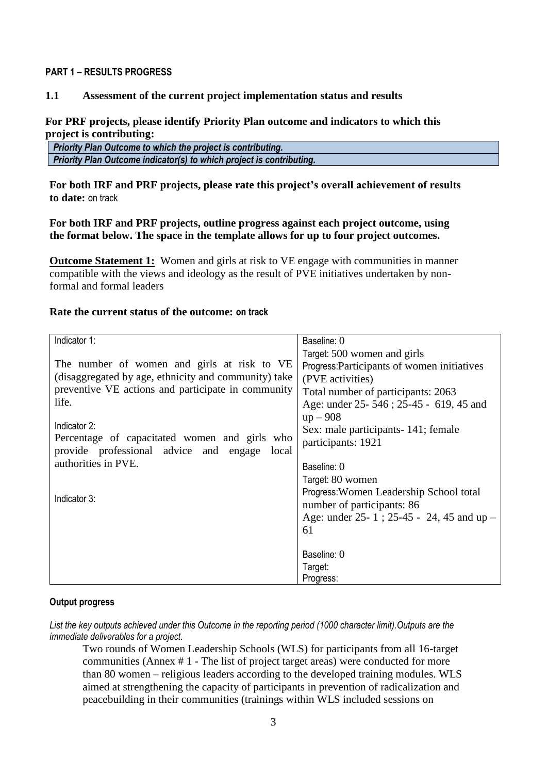#### **PART 1 – RESULTS PROGRESS**

## **1.1 Assessment of the current project implementation status and results**

### **For PRF projects, please identify Priority Plan outcome and indicators to which this project is contributing:**

|  | Priority Plan Outcome to which the project is contributing.          |
|--|----------------------------------------------------------------------|
|  | Priority Plan Outcome indicator(s) to which project is contributing. |

**For both IRF and PRF projects, please rate this project's overall achievement of results to date:** on track

### **For both IRF and PRF projects, outline progress against each project outcome, using the format below. The space in the template allows for up to four project outcomes.**

**Outcome Statement 1:** Women and girls at risk to VE engage with communities in manner compatible with the views and ideology as the result of PVE initiatives undertaken by nonformal and formal leaders

#### **Rate the current status of the outcome: on track**

| Indicator 1:                                                           | Baseline: 0                                        |
|------------------------------------------------------------------------|----------------------------------------------------|
|                                                                        | Target: 500 women and girls                        |
| The number of women and girls at risk to VE                            | Progress: Participants of women initiatives        |
| (disaggregated by age, ethnicity and community) take                   | (PVE activities)                                   |
| preventive VE actions and participate in community                     | Total number of participants: 2063                 |
| life.                                                                  | Age: under 25-546; 25-45 - 619, 45 and             |
|                                                                        | $up - 908$                                         |
| Indicator 2:                                                           | Sex: male participants - 141; female               |
| Percentage of capacitated women and girls who                          | participants: 1921                                 |
| provide professional advice and engage<br>local<br>authorities in PVE. |                                                    |
|                                                                        | Baseline: 0                                        |
|                                                                        | Target: 80 women                                   |
| Indicator 3:                                                           | Progress: Women Leadership School total            |
|                                                                        | number of participants: 86                         |
|                                                                        | Age: under $25 - 1$ ; $25 - 45 - 24$ , 45 and up – |
|                                                                        | 61                                                 |
|                                                                        |                                                    |
|                                                                        | Baseline: 0                                        |
|                                                                        | Target:                                            |
|                                                                        | Progress:                                          |

## **Output progress**

*List the key outputs achieved under this Outcome in the reporting period (1000 character limit).Outputs are the immediate deliverables for a project.*

Two rounds of Women Leadership Schools (WLS) for participants from all 16-target communities (Annex # 1 - The list of project target areas) were conducted for more than 80 women – religious leaders according to the developed training modules. WLS aimed at strengthening the capacity of participants in prevention of radicalization and peacebuilding in their communities (trainings within WLS included sessions on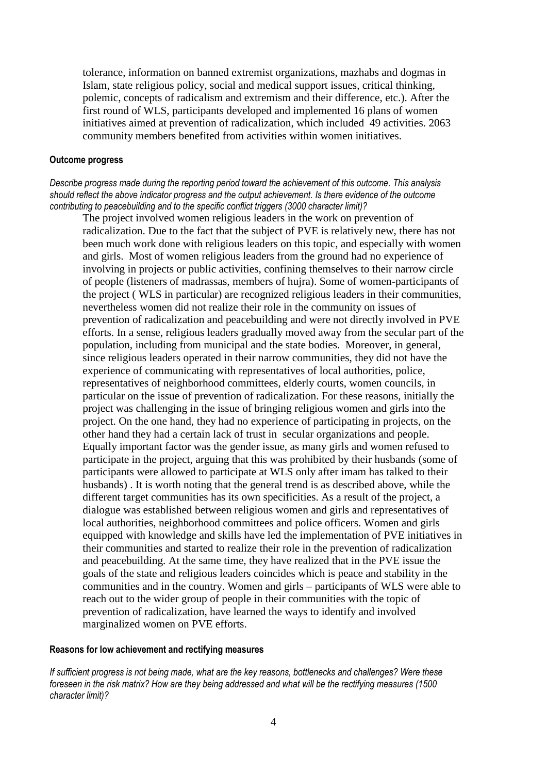tolerance, information on banned extremist organizations, mazhabs and dogmas in Islam, state religious policy, social and medical support issues, critical thinking, polemic, concepts of radicalism and extremism and their difference, etc.). After the first round of WLS, participants developed and implemented 16 plans of women initiatives aimed at prevention of radicalization, which included 49 activities. 2063 community members benefited from activities within women initiatives.

#### **Outcome progress**

*Describe progress made during the reporting period toward the achievement of this outcome. This analysis should reflect the above indicator progress and the output achievement. Is there evidence of the outcome contributing to peacebuilding and to the specific conflict triggers (3000 character limit)?* 

The project involved women religious leaders in the work on prevention of radicalization. Due to the fact that the subject of PVE is relatively new, there has not been much work done with religious leaders on this topic, and especially with women and girls. Most of women religious leaders from the ground had no experience of involving in projects or public activities, confining themselves to their narrow circle of people (listeners of madrassas, members of hujra). Some of women-participants of the project ( WLS in particular) are recognized religious leaders in their communities, nevertheless women did not realize their role in the community on issues of prevention of radicalization and peacebuilding and were not directly involved in PVE efforts. In a sense, religious leaders gradually moved away from the secular part of the population, including from municipal and the state bodies. Moreover, in general, since religious leaders operated in their narrow communities, they did not have the experience of communicating with representatives of local authorities, police, representatives of neighborhood committees, elderly courts, women councils, in particular on the issue of prevention of radicalization. For these reasons, initially the project was challenging in the issue of bringing religious women and girls into the project. On the one hand, they had no experience of participating in projects, on the other hand they had a certain lack of trust in secular organizations and people. Equally important factor was the gender issue, as many girls and women refused to participate in the project, arguing that this was prohibited by their husbands (some of participants were allowed to participate at WLS only after imam has talked to their husbands) . It is worth noting that the general trend is as described above, while the different target communities has its own specificities. As a result of the project, a dialogue was established between religious women and girls and representatives of local authorities, neighborhood committees and police officers. Women and girls equipped with knowledge and skills have led the implementation of PVE initiatives in their communities and started to realize their role in the prevention of radicalization and peacebuilding. At the same time, they have realized that in the PVE issue the goals of the state and religious leaders coincides which is peace and stability in the communities and in the country. Women and girls – participants of WLS were able to reach out to the wider group of people in their communities with the topic of prevention of radicalization, have learned the ways to identify and involved marginalized women on PVE efforts.

#### **Reasons for low achievement and rectifying measures**

*If sufficient progress is not being made, what are the key reasons, bottlenecks and challenges? Were these foreseen in the risk matrix? How are they being addressed and what will be the rectifying measures (1500 character limit)?*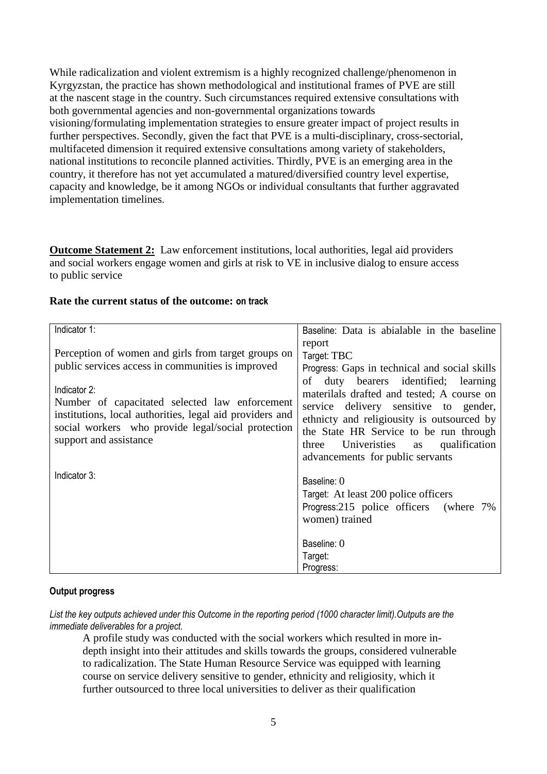While radicalization and violent extremism is a highly recognized challenge/phenomenon in Kyrgyzstan, the practice has shown methodological and institutional frames of PVE are still at the nascent stage in the country. Such circumstances required extensive consultations with both governmental agencies and non-governmental organizations towards visioning/formulating implementation strategies to ensure greater impact of project results in further perspectives. Secondly, given the fact that PVE is a multi-disciplinary, cross-sectorial, multifaceted dimension it required extensive consultations among variety of stakeholders, national institutions to reconcile planned activities. Thirdly, PVE is an emerging area in the country, it therefore has not yet accumulated a matured/diversified country level expertise, capacity and knowledge, be it among NGOs or individual consultants that further aggravated implementation timelines.

**Outcome Statement 2:** Law enforcement institutions, local authorities, legal aid providers and social workers engage women and girls at risk to VE in inclusive dialog to ensure access to public service

## **Rate the current status of the outcome: on track**

| Indicator 1:                                                                                                                                                                                                                                                                                                           | Baseline: Data is abialable in the baseline                                                                                                                                                                                                                                                                                                |
|------------------------------------------------------------------------------------------------------------------------------------------------------------------------------------------------------------------------------------------------------------------------------------------------------------------------|--------------------------------------------------------------------------------------------------------------------------------------------------------------------------------------------------------------------------------------------------------------------------------------------------------------------------------------------|
| Perception of women and girls from target groups on<br>public services access in communities is improved<br>Indicator 2:<br>Number of capacitated selected law enforcement<br>institutions, local authorities, legal aid providers and<br>social workers who provide legal/social protection<br>support and assistance | report<br>Target: TBC<br>Progress: Gaps in technical and social skills<br>duty bearers identified; learning<br>of<br>materilals drafted and tested; A course on<br>service delivery sensitive to gender,<br>ethnicty and religiousity is outsourced by<br>the State HR Service to be run through<br>Universities as qualification<br>three |
| Indicator 3:                                                                                                                                                                                                                                                                                                           | advancements for public servants<br>Baseline: 0<br>Target: At least 200 police officers<br>Progress:215 police officers (where 7%)<br>women) trained<br>Baseline: 0                                                                                                                                                                        |
|                                                                                                                                                                                                                                                                                                                        | Target:<br>Progress:                                                                                                                                                                                                                                                                                                                       |

#### **Output progress**

*List the key outputs achieved under this Outcome in the reporting period (1000 character limit).Outputs are the immediate deliverables for a project.*

A profile study was conducted with the social workers which resulted in more indepth insight into their attitudes and skills towards the groups, considered vulnerable to radicalization. The State Human Resource Service was equipped with learning course on service delivery sensitive to gender, ethnicity and religiosity, which it further outsourced to three local universities to deliver as their qualification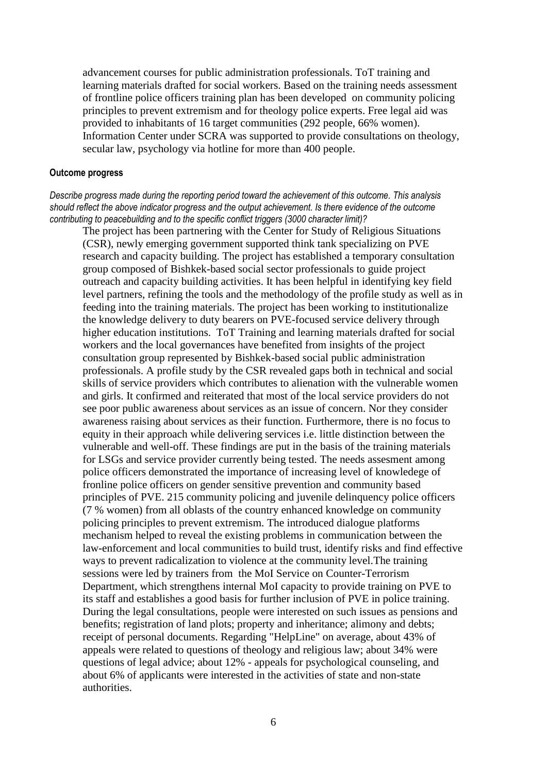advancement courses for public administration professionals. ToT training and learning materials drafted for social workers. Based on the training needs assessment of frontline police officers training plan has been developed on community policing principles to prevent extremism and for theology police experts. Free legal aid was provided to inhabitants of 16 target communities (292 people, 66% women). Information Center under SCRA was supported to provide consultations on theology, secular law, psychology via hotline for more than 400 people.

#### **Outcome progress**

*Describe progress made during the reporting period toward the achievement of this outcome. This analysis should reflect the above indicator progress and the output achievement. Is there evidence of the outcome contributing to peacebuilding and to the specific conflict triggers (3000 character limit)?* 

The project has been partnering with the Center for Study of Religious Situations (CSR), newly emerging government supported think tank specializing on PVE research and capacity building. The project has established a temporary consultation group composed of Bishkek-based social sector professionals to guide project outreach and capacity building activities. It has been helpful in identifying key field level partners, refining the tools and the methodology of the profile study as well as in feeding into the training materials. The project has been working to institutionalize the knowledge delivery to duty bearers on PVE-focused service delivery through higher education institutions. ToT Training and learning materials drafted for social workers and the local governances have benefited from insights of the project consultation group represented by Bishkek-based social public administration professionals. A profile study by the CSR revealed gaps both in technical and social skills of service providers which contributes to alienation with the vulnerable women and girls. It confirmed and reiterated that most of the local service providers do not see poor public awareness about services as an issue of concern. Nor they consider awareness raising about services as their function. Furthermore, there is no focus to equity in their approach while delivering services i.e. little distinction between the vulnerable and well-off. These findings are put in the basis of the training materials for LSGs and service provider currently being tested. The needs assesment among police officers demonstrated the importance of increasing level of knowledege of fronline police officers on gender sensitive prevention and community based principles of PVE. 215 community policing and juvenile delinquency police officers (7 % women) from all oblasts of the country enhanced knowledge on community policing principles to prevent extremism. The introduced dialogue platforms mechanism helped to reveal the existing problems in communication between the law-enforcement and local communities to build trust, identify risks and find effective ways to prevent radicalization to violence at the community level.The training sessions were led by trainers from the MoI Service on Counter-Terrorism Department, which strengthens internal MoI capacity to provide training on PVE to its staff and establishes a good basis for further inclusion of PVE in police training. During the legal consultations, people were interested on such issues as pensions and benefits; registration of land plots; property and inheritance; alimony and debts; receipt of personal documents. Regarding "HelpLine" on average, about 43% of appeals were related to questions of theology and religious law; about 34% were questions of legal advice; about 12% - appeals for psychological counseling, and about 6% of applicants were interested in the activities of state and non-state authorities.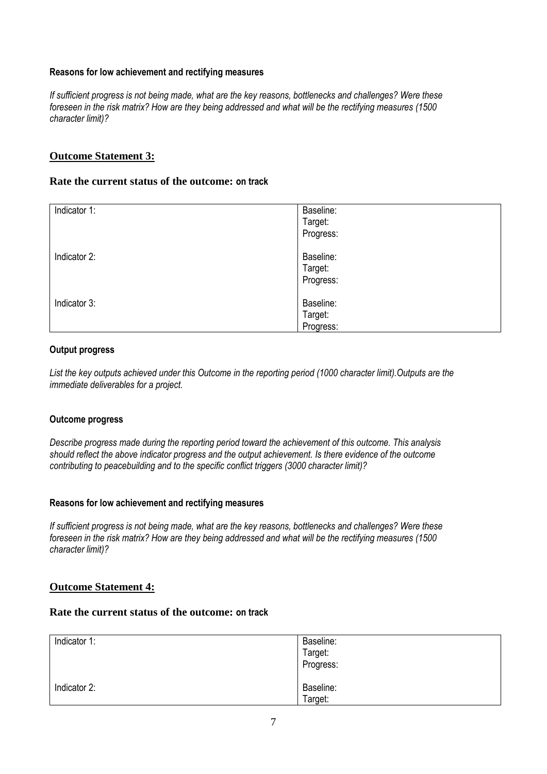## **Reasons for low achievement and rectifying measures**

*If sufficient progress is not being made, what are the key reasons, bottlenecks and challenges? Were these foreseen in the risk matrix? How are they being addressed and what will be the rectifying measures (1500 character limit)?*

## **Outcome Statement 3:**

### **Rate the current status of the outcome: on track**

| Indicator 1: | Baseline:<br>Target:<br>Progress: |
|--------------|-----------------------------------|
| Indicator 2: | Baseline:<br>Target:<br>Progress: |
| Indicator 3: | Baseline:<br>Target:<br>Progress: |

#### **Output progress**

*List the key outputs achieved under this Outcome in the reporting period (1000 character limit).Outputs are the immediate deliverables for a project.*

#### **Outcome progress**

*Describe progress made during the reporting period toward the achievement of this outcome. This analysis should reflect the above indicator progress and the output achievement. Is there evidence of the outcome contributing to peacebuilding and to the specific conflict triggers (3000 character limit)?* 

## **Reasons for low achievement and rectifying measures**

*If sufficient progress is not being made, what are the key reasons, bottlenecks and challenges? Were these foreseen in the risk matrix? How are they being addressed and what will be the rectifying measures (1500 character limit)?*

#### **Outcome Statement 4:**

## **Rate the current status of the outcome: on track**

| Indicator 1: | Baseline:<br>Target:<br>Progress: |
|--------------|-----------------------------------|
| Indicator 2: | Baseline:<br>Target:              |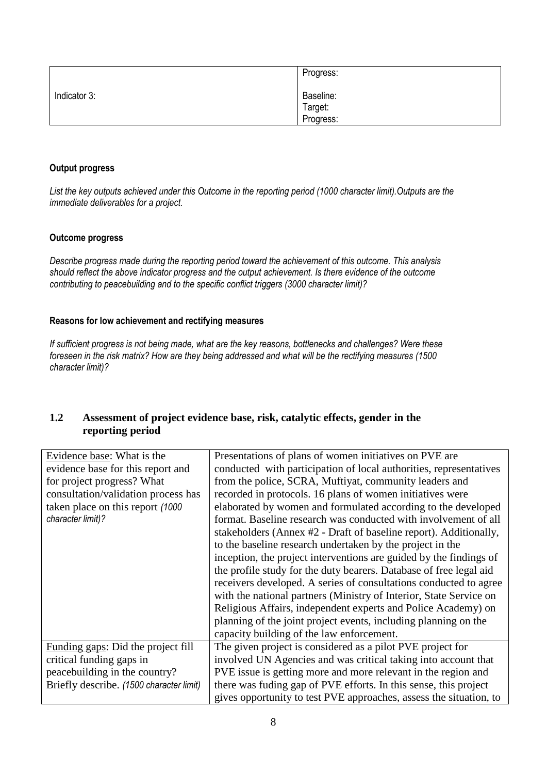|              | Progress:                         |
|--------------|-----------------------------------|
| Indicator 3: | Baseline:<br>Target:<br>Progress: |

## **Output progress**

*List the key outputs achieved under this Outcome in the reporting period (1000 character limit).Outputs are the immediate deliverables for a project.*

#### **Outcome progress**

*Describe progress made during the reporting period toward the achievement of this outcome. This analysis should reflect the above indicator progress and the output achievement. Is there evidence of the outcome contributing to peacebuilding and to the specific conflict triggers (3000 character limit)?* 

## **Reasons for low achievement and rectifying measures**

*If sufficient progress is not being made, what are the key reasons, bottlenecks and challenges? Were these foreseen in the risk matrix? How are they being addressed and what will be the rectifying measures (1500 character limit)?*

## **1.2 Assessment of project evidence base, risk, catalytic effects, gender in the reporting period**

| Evidence base: What is the               | Presentations of plans of women initiatives on PVE are             |
|------------------------------------------|--------------------------------------------------------------------|
| evidence base for this report and        | conducted with participation of local authorities, representatives |
| for project progress? What               | from the police, SCRA, Muftiyat, community leaders and             |
| consultation/validation process has      | recorded in protocols. 16 plans of women initiatives were          |
| taken place on this report (1000)        | elaborated by women and formulated according to the developed      |
| character limit)?                        | format. Baseline research was conducted with involvement of all    |
|                                          | stakeholders (Annex #2 - Draft of baseline report). Additionally,  |
|                                          | to the baseline research undertaken by the project in the          |
|                                          | inception, the project interventions are guided by the findings of |
|                                          | the profile study for the duty bearers. Database of free legal aid |
|                                          | receivers developed. A series of consultations conducted to agree  |
|                                          | with the national partners (Ministry of Interior, State Service on |
|                                          | Religious Affairs, independent experts and Police Academy) on      |
|                                          | planning of the joint project events, including planning on the    |
|                                          | capacity building of the law enforcement.                          |
| Funding gaps: Did the project fill       | The given project is considered as a pilot PVE project for         |
| critical funding gaps in                 | involved UN Agencies and was critical taking into account that     |
| peacebuilding in the country?            | PVE issue is getting more and more relevant in the region and      |
| Briefly describe. (1500 character limit) | there was fuding gap of PVE efforts. In this sense, this project   |
|                                          | gives opportunity to test PVE approaches, assess the situation, to |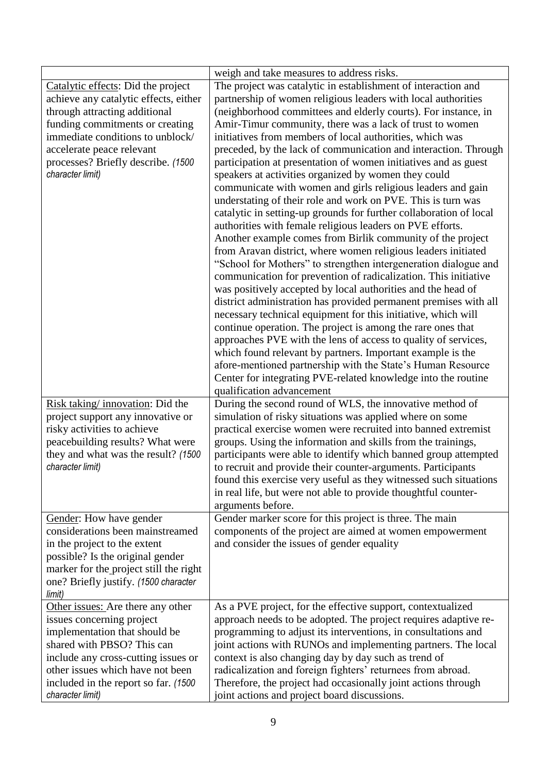|                                        | weigh and take measures to address risks.                          |
|----------------------------------------|--------------------------------------------------------------------|
| Catalytic effects: Did the project     | The project was catalytic in establishment of interaction and      |
| achieve any catalytic effects, either  | partnership of women religious leaders with local authorities      |
| through attracting additional          | (neighborhood committees and elderly courts). For instance, in     |
| funding commitments or creating        | Amir-Timur community, there was a lack of trust to women           |
| immediate conditions to unblock/       | initiatives from members of local authorities, which was           |
| accelerate peace relevant              | preceded, by the lack of communication and interaction. Through    |
| processes? Briefly describe. (1500     | participation at presentation of women initiatives and as guest    |
| character limit)                       | speakers at activities organized by women they could               |
|                                        | communicate with women and girls religious leaders and gain        |
|                                        | understating of their role and work on PVE. This is turn was       |
|                                        | catalytic in setting-up grounds for further collaboration of local |
|                                        | authorities with female religious leaders on PVE efforts.          |
|                                        | Another example comes from Birlik community of the project         |
|                                        | from Aravan district, where women religious leaders initiated      |
|                                        | "School for Mothers" to strengthen intergeneration dialogue and    |
|                                        | communication for prevention of radicalization. This initiative    |
|                                        | was positively accepted by local authorities and the head of       |
|                                        | district administration has provided permanent premises with all   |
|                                        | necessary technical equipment for this initiative, which will      |
|                                        | continue operation. The project is among the rare ones that        |
|                                        | approaches PVE with the lens of access to quality of services,     |
|                                        | which found relevant by partners. Important example is the         |
|                                        | afore-mentioned partnership with the State's Human Resource        |
|                                        | Center for integrating PVE-related knowledge into the routine      |
|                                        | qualification advancement                                          |
| Risk taking/innovation: Did the        | During the second round of WLS, the innovative method of           |
| project support any innovative or      | simulation of risky situations was applied where on some           |
| risky activities to achieve            | practical exercise women were recruited into banned extremist      |
| peacebuilding results? What were       | groups. Using the information and skills from the trainings,       |
| they and what was the result? (1500    | participants were able to identify which banned group attempted    |
| character limit)                       | to recruit and provide their counter-arguments. Participants       |
|                                        | found this exercise very useful as they witnessed such situations  |
|                                        | in real life, but were not able to provide thoughtful counter-     |
|                                        | arguments before.                                                  |
| Gender: How have gender                | Gender marker score for this project is three. The main            |
| considerations been mainstreamed       | components of the project are aimed at women empowerment           |
| in the project to the extent           | and consider the issues of gender equality                         |
| possible? Is the original gender       |                                                                    |
| marker for the project still the right |                                                                    |
| one? Briefly justify. (1500 character  |                                                                    |
| limit)                                 |                                                                    |
| Other issues: Are there any other      | As a PVE project, for the effective support, contextualized        |
| issues concerning project              | approach needs to be adopted. The project requires adaptive re-    |
| implementation that should be          | programming to adjust its interventions, in consultations and      |
| shared with PBSO? This can             | joint actions with RUNOs and implementing partners. The local      |
| include any cross-cutting issues or    | context is also changing day by day such as trend of               |
| other issues which have not been       | radicalization and foreign fighters' returnees from abroad.        |
| included in the report so far. (1500)  | Therefore, the project had occasionally joint actions through      |
| character limit)                       | joint actions and project board discussions.                       |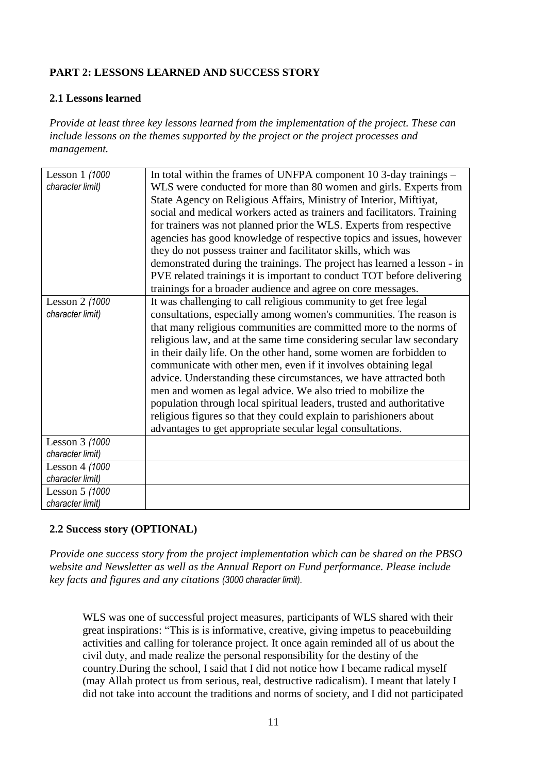# **PART 2: LESSONS LEARNED AND SUCCESS STORY**

## **2.1 Lessons learned**

*Provide at least three key lessons learned from the implementation of the project. These can include lessons on the themes supported by the project or the project processes and management.*

| Lesson 1 (1000   | In total within the frames of UNFPA component 10 3-day trainings –       |
|------------------|--------------------------------------------------------------------------|
| character limit) | WLS were conducted for more than 80 women and girls. Experts from        |
|                  | State Agency on Religious Affairs, Ministry of Interior, Miftiyat,       |
|                  | social and medical workers acted as trainers and facilitators. Training  |
|                  | for trainers was not planned prior the WLS. Experts from respective      |
|                  | agencies has good knowledge of respective topics and issues, however     |
|                  | they do not possess trainer and facilitator skills, which was            |
|                  | demonstrated during the trainings. The project has learned a lesson - in |
|                  | PVE related trainings it is important to conduct TOT before delivering   |
|                  | trainings for a broader audience and agree on core messages.             |
| Lesson 2 (1000   | It was challenging to call religious community to get free legal         |
| character limit) | consultations, especially among women's communities. The reason is       |
|                  | that many religious communities are committed more to the norms of       |
|                  | religious law, and at the same time considering secular law secondary    |
|                  | in their daily life. On the other hand, some women are forbidden to      |
|                  | communicate with other men, even if it involves obtaining legal          |
|                  | advice. Understanding these circumstances, we have attracted both        |
|                  | men and women as legal advice. We also tried to mobilize the             |
|                  | population through local spiritual leaders, trusted and authoritative    |
|                  | religious figures so that they could explain to parishioners about       |
|                  | advantages to get appropriate secular legal consultations.               |
| Lesson 3 (1000   |                                                                          |
| character limit) |                                                                          |
| Lesson 4 (1000   |                                                                          |
| character limit) |                                                                          |
| Lesson 5 (1000   |                                                                          |
| character limit) |                                                                          |

# **2.2 Success story (OPTIONAL)**

*Provide one success story from the project implementation which can be shared on the PBSO website and Newsletter as well as the Annual Report on Fund performance. Please include key facts and figures and any citations (3000 character limit).*

WLS was one of successful project measures, participants of WLS shared with their great inspirations: "This is is informative, creative, giving impetus to peacebuilding activities and calling for tolerance project. It once again reminded all of us about the civil duty, and made realize the personal responsibility for the destiny of the country.During the school, I said that I did not notice how I became radical myself (may Allah protect us from serious, real, destructive radicalism). I meant that lately I did not take into account the traditions and norms of society, and I did not participated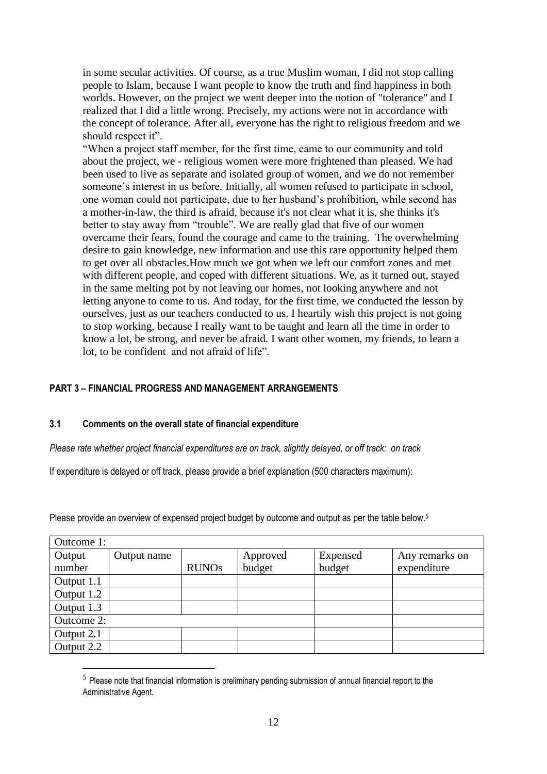in some secular activities. Of course, as a true Muslim woman, I did not stop calling people to Islam, because I want people to know the truth and find happiness in both worlds. However, on the project we went deeper into the notion of "tolerance" and I realized that I did a little wrong. Precisely, my actions were not in accordance with the concept of tolerance. After all, everyone has the right to religious freedom and we should respect it".

"When a project staff member, for the first time, came to our community and told about the project, we - religious women were more frightened than pleased. We had been used to live as separate and isolated group of women, and we do not remember someone's interest in us before. Initially, all women refused to participate in school, one woman could not participate, due to her husband's prohibition, while second has a mother-in-law, the third is afraid, because it's not clear what it is, she thinks it's better to stay away from "trouble". We are really glad that five of our women overcame their fears, found the courage and came to the training. The overwhelming desire to gain knowledge, new information and use this rare opportunity helped them to get over all obstacles.How much we got when we left our comfort zones and met with different people, and coped with different situations. We, as it turned out, stayed in the same melting pot by not leaving our homes, not looking anywhere and not letting anyone to come to us. And today, for the first time, we conducted the lesson by ourselves, just as our teachers conducted to us. I heartily wish this project is not going to stop working, because I really want to be taught and learn all the time in order to know a lot, be strong, and never be afraid. I want other women, my friends, to learn a lot, to be confident and not afraid of life".

## **PART 3** *–* **FINANCIAL PROGRESS AND MANAGEMENT ARRANGEMENTS**

## **3.1 Comments on the overall state of financial expenditure**

<u>.</u>

*Please rate whether project financial expenditures are on track, slightly delayed, or off track: on track*

If expenditure is delayed or off track, please provide a brief explanation (500 characters maximum):

Please provide an overview of expensed project budget by outcome and output as per the table below.<sup>5</sup>

| Outcome 1: |             |              |          |          |                |  |  |  |  |
|------------|-------------|--------------|----------|----------|----------------|--|--|--|--|
| Output     | Output name |              | Approved | Expensed | Any remarks on |  |  |  |  |
| number     |             | <b>RUNOs</b> | budget   | budget   | expenditure    |  |  |  |  |
| Output 1.1 |             |              |          |          |                |  |  |  |  |
| Output 1.2 |             |              |          |          |                |  |  |  |  |
| Output 1.3 |             |              |          |          |                |  |  |  |  |
| Outcome 2: |             |              |          |          |                |  |  |  |  |
| Output 2.1 |             |              |          |          |                |  |  |  |  |
| Output 2.2 |             |              |          |          |                |  |  |  |  |

 $<sup>5</sup>$  Please note that financial information is preliminary pending submission of annual financial report to the</sup> Administrative Agent.